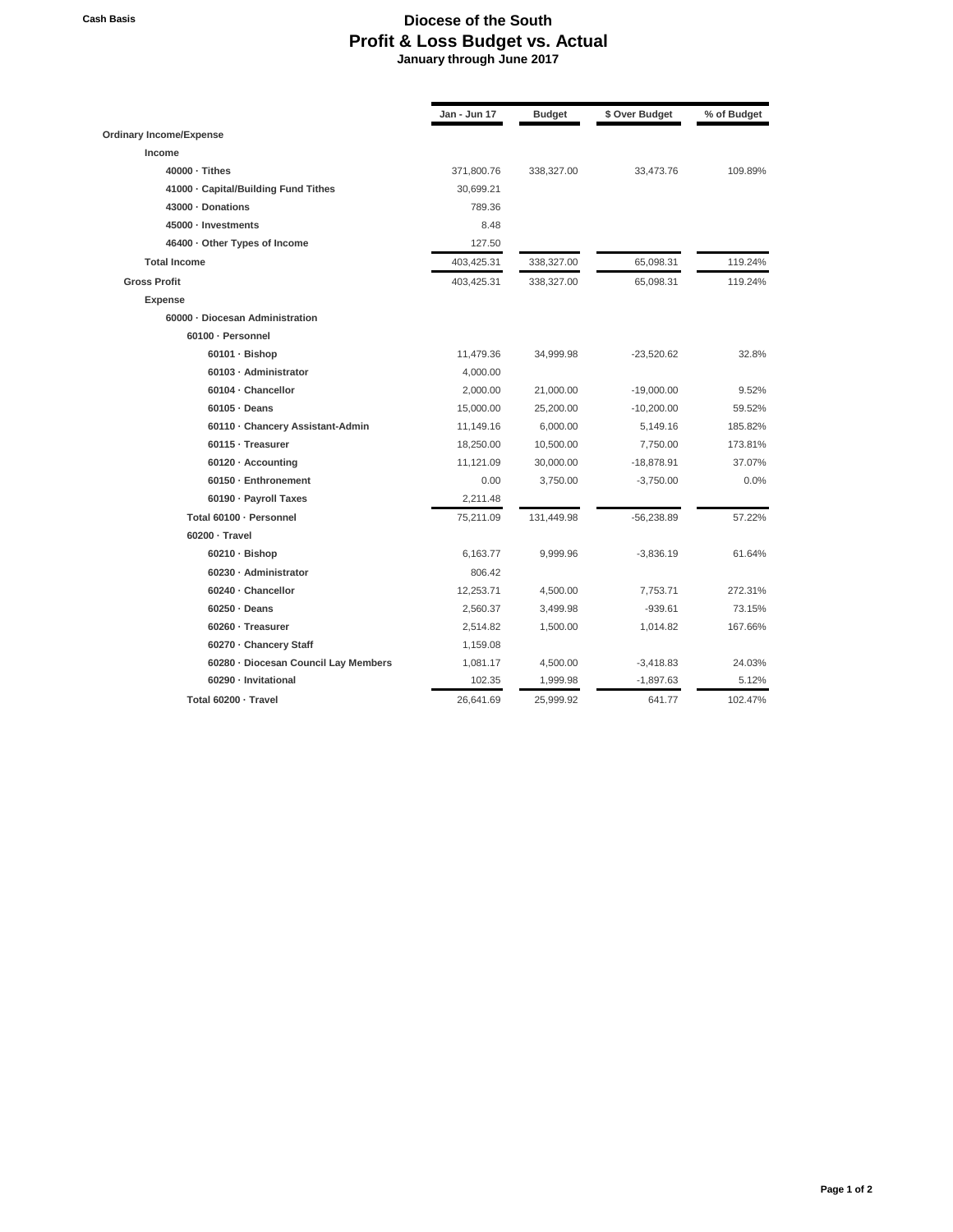## **Cash Basis Diocese of the South Profit & Loss Budget vs. Actual January through June 2017**

|                                      | Jan - Jun 17 | <b>Budget</b> | \$ Over Budget | % of Budget |
|--------------------------------------|--------------|---------------|----------------|-------------|
| <b>Ordinary Income/Expense</b>       |              |               |                |             |
| Income                               |              |               |                |             |
| $40000 \cdot$ Tithes                 | 371,800.76   | 338,327.00    | 33,473.76      | 109.89%     |
| 41000 · Capital/Building Fund Tithes | 30,699.21    |               |                |             |
| 43000 · Donations                    | 789.36       |               |                |             |
| 45000 · Investments                  | 8.48         |               |                |             |
| 46400 · Other Types of Income        | 127.50       |               |                |             |
| <b>Total Income</b>                  | 403,425.31   | 338,327.00    | 65,098.31      | 119.24%     |
| <b>Gross Profit</b>                  | 403,425.31   | 338,327.00    | 65,098.31      | 119.24%     |
| <b>Expense</b>                       |              |               |                |             |
| 60000 - Diocesan Administration      |              |               |                |             |
| 60100 · Personnel                    |              |               |                |             |
| $60101 \cdot \text{Bishop}$          | 11,479.36    | 34,999.98     | $-23,520.62$   | 32.8%       |
| 60103 · Administrator                | 4,000.00     |               |                |             |
| 60104 · Chancellor                   | 2,000.00     | 21,000.00     | $-19,000.00$   | 9.52%       |
| $60105 \cdot$ Deans                  | 15,000.00    | 25,200.00     | $-10,200.00$   | 59.52%      |
| 60110 · Chancery Assistant-Admin     | 11,149.16    | 6,000.00      | 5,149.16       | 185.82%     |
| 60115 · Treasurer                    | 18,250.00    | 10,500.00     | 7,750.00       | 173.81%     |
| 60120 · Accounting                   | 11,121.09    | 30,000.00     | $-18,878.91$   | 37.07%      |
| 60150 · Enthronement                 | 0.00         | 3,750.00      | $-3,750.00$    | 0.0%        |
| 60190 · Payroll Taxes                | 2,211.48     |               |                |             |
| Total 60100 · Personnel              | 75,211.09    | 131,449.98    | $-56,238.89$   | 57.22%      |
| $60200 \cdot$ Travel                 |              |               |                |             |
| $60210 \cdot \text{Bishop}$          | 6,163.77     | 9,999.96      | $-3,836.19$    | 61.64%      |
| 60230 · Administrator                | 806.42       |               |                |             |
| 60240 · Chancellor                   | 12,253.71    | 4,500.00      | 7,753.71       | 272.31%     |
| $60250 \cdot$ Deans                  | 2,560.37     | 3,499.98      | $-939.61$      | 73.15%      |
| 60260 · Treasurer                    | 2,514.82     | 1,500.00      | 1,014.82       | 167.66%     |
| 60270 · Chancery Staff               | 1,159.08     |               |                |             |
| 60280 · Diocesan Council Lay Members | 1,081.17     | 4,500.00      | $-3,418.83$    | 24.03%      |
| 60290 · Invitational                 | 102.35       | 1,999.98      | $-1,897.63$    | 5.12%       |
| Total 60200 - Travel                 | 26,641.69    | 25,999.92     | 641.77         | 102.47%     |